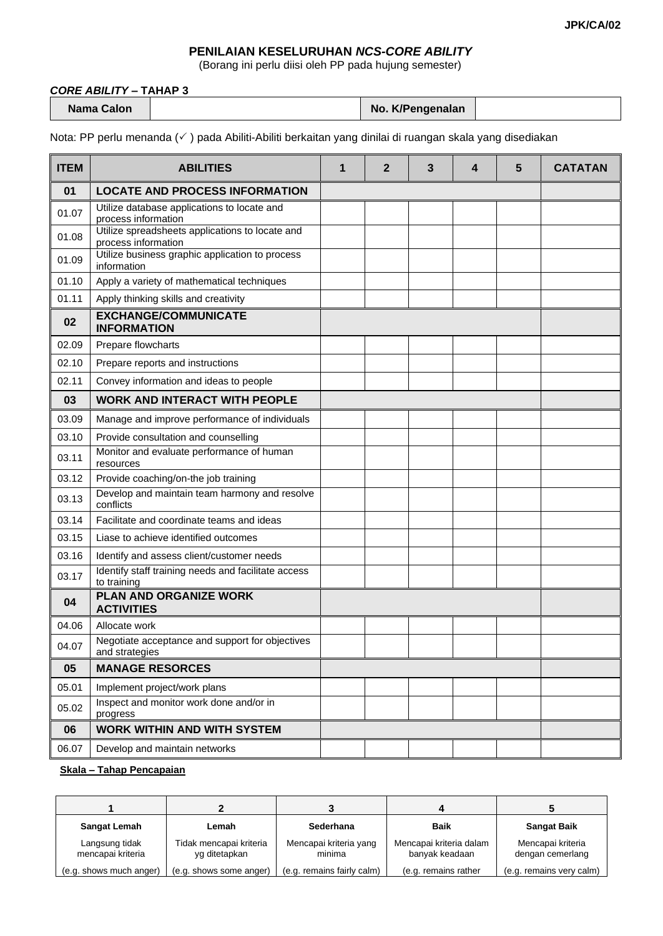## **PENILAIAN KESELURUHAN** *NCS-CORE ABILITY*

(Borang ini perlu diisi oleh PP pada hujung semester)

## *CORE ABILITY* **– TAHAP 3**

|  | Nama Calon |  |
|--|------------|--|
|--|------------|--|

**No. K/Pengenalan** 

Nota: PP perlu menanda (√) pada Abiliti-Abiliti berkaitan yang dinilai di ruangan skala yang disediakan

| <b>ITEM</b> | <b>ABILITIES</b>                                                       | 1 | $\mathbf{2}$ | 3 | 4 | 5 | <b>CATATAN</b> |
|-------------|------------------------------------------------------------------------|---|--------------|---|---|---|----------------|
| 01          | <b>LOCATE AND PROCESS INFORMATION</b>                                  |   |              |   |   |   |                |
| 01.07       | Utilize database applications to locate and<br>process information     |   |              |   |   |   |                |
| 01.08       | Utilize spreadsheets applications to locate and<br>process information |   |              |   |   |   |                |
| 01.09       | Utilize business graphic application to process<br>information         |   |              |   |   |   |                |
| 01.10       | Apply a variety of mathematical techniques                             |   |              |   |   |   |                |
| 01.11       | Apply thinking skills and creativity                                   |   |              |   |   |   |                |
| 02          | <b>EXCHANGE/COMMUNICATE</b><br><b>INFORMATION</b>                      |   |              |   |   |   |                |
| 02.09       | Prepare flowcharts                                                     |   |              |   |   |   |                |
| 02.10       | Prepare reports and instructions                                       |   |              |   |   |   |                |
| 02.11       | Convey information and ideas to people                                 |   |              |   |   |   |                |
| 03          | <b>WORK AND INTERACT WITH PEOPLE</b>                                   |   |              |   |   |   |                |
| 03.09       | Manage and improve performance of individuals                          |   |              |   |   |   |                |
| 03.10       | Provide consultation and counselling                                   |   |              |   |   |   |                |
| 03.11       | Monitor and evaluate performance of human<br>resources                 |   |              |   |   |   |                |
| 03.12       | Provide coaching/on-the job training                                   |   |              |   |   |   |                |
| 03.13       | Develop and maintain team harmony and resolve<br>conflicts             |   |              |   |   |   |                |
| 03.14       | Facilitate and coordinate teams and ideas                              |   |              |   |   |   |                |
| 03.15       | Liase to achieve identified outcomes                                   |   |              |   |   |   |                |
| 03.16       | Identify and assess client/customer needs                              |   |              |   |   |   |                |
| 03.17       | Identify staff training needs and facilitate access<br>to training     |   |              |   |   |   |                |
| 04          | PLAN AND ORGANIZE WORK<br><b>ACTIVITIES</b>                            |   |              |   |   |   |                |
| 04.06       | Allocate work                                                          |   |              |   |   |   |                |
| 04.07       | Negotiate acceptance and support for objectives<br>and strategies      |   |              |   |   |   |                |
| 05          | <b>MANAGE RESORCES</b>                                                 |   |              |   |   |   |                |
| 05.01       | Implement project/work plans                                           |   |              |   |   |   |                |
| 05.02       | Inspect and monitor work done and/or in<br>progress                    |   |              |   |   |   |                |
| 06          | <b>WORK WITHIN AND WITH SYSTEM</b>                                     |   |              |   |   |   |                |
| 06.07       | Develop and maintain networks                                          |   |              |   |   |   |                |

## **Skala – Tahap Pencapaian**

| <b>Sangat Lemah</b>                 | Lemah                                    | Sederhana                        | <b>Baik</b>                               | <b>Sangat Baik</b>                    |
|-------------------------------------|------------------------------------------|----------------------------------|-------------------------------------------|---------------------------------------|
| Langsung tidak<br>mencapai kriteria | Tidak mencapai kriteria<br>yg ditetapkan | Mencapai kriteria yang<br>minima | Mencapai kriteria dalam<br>banyak keadaan | Mencapai kriteria<br>dengan cemerlang |
| (e.g. shows much anger)             | (e.g. shows some anger)                  | (e.g. remains fairly calm)       | (e.g. remains rather                      | (e.g. remains very calm)              |